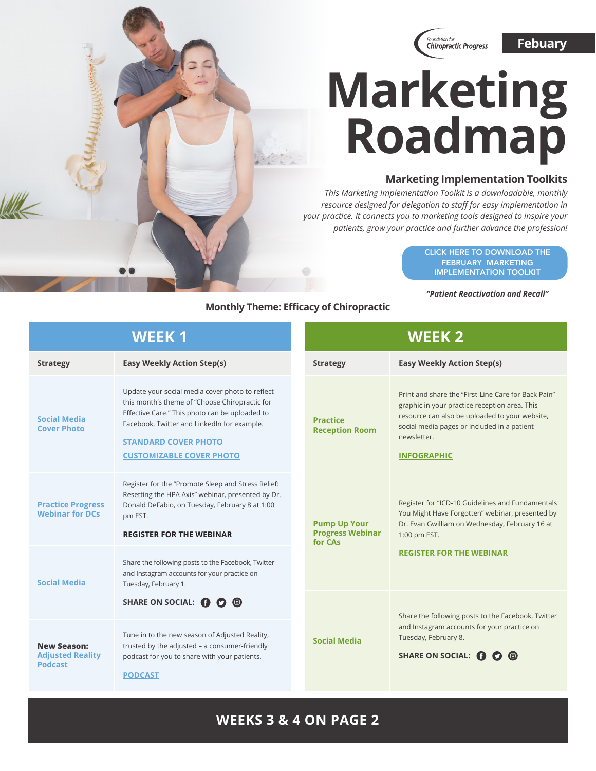

# **Marketing Roadmap**

### **Marketing Implementation Toolkits**

*This Marketing Implementation Toolkit is a downloadable, monthly resource designed for delegation to staff for easy implementation in your practice. It connects you to marketing tools designed to inspire your patients, grow your practice and further advance the profession!*

> [CLICK HERE TO DOWNLOAD THE](https://www.f4cp.org/package/member/login/viewfile/marreactivation-and-recall)  FEBRUARY MARKETING IMPLEMENTATION TOOLKIT

*"Patient Reactivation and Recall"*

#### **Monthly Theme: Efficacy of Chiropractic**

| <b>WEEK1</b>                                                    |                                                                                                                                                                                                                                                                      |  | <b>WEEK 2</b>                                             |                                                                                                                                                                                                                                            |  |
|-----------------------------------------------------------------|----------------------------------------------------------------------------------------------------------------------------------------------------------------------------------------------------------------------------------------------------------------------|--|-----------------------------------------------------------|--------------------------------------------------------------------------------------------------------------------------------------------------------------------------------------------------------------------------------------------|--|
| <b>Strategy</b>                                                 | <b>Easy Weekly Action Step(s)</b>                                                                                                                                                                                                                                    |  | <b>Strategy</b>                                           | <b>Easy Weekly Action Step(s)</b>                                                                                                                                                                                                          |  |
| <b>Social Media</b><br><b>Cover Photo</b>                       | Update your social media cover photo to reflect<br>this month's theme of "Choose Chiropractic for<br>Effective Care." This photo can be uploaded to<br>Facebook, Twitter and LinkedIn for example.<br><b>STANDARD COVER PHOTO</b><br><b>CUSTOMIZABLE COVER PHOTO</b> |  | <b>Practice</b><br><b>Reception Room</b>                  | Print and share the "First-Line Care for Back Pain"<br>graphic in your practice reception area. This<br>resource can also be uploaded to your website,<br>social media pages or included in a patient<br>newsletter.<br><b>INFOGRAPHIC</b> |  |
| <b>Practice Progress</b><br><b>Webinar for DCs</b>              | Register for the "Promote Sleep and Stress Relief:<br>Resetting the HPA Axis" webinar, presented by Dr.<br>Donald DeFabio, on Tuesday, February 8 at 1:00<br>pm EST.<br><b>REGISTER FOR THE WEBINAR</b>                                                              |  | <b>Pump Up Your</b><br><b>Progress Webinar</b><br>for CAs | Register for "ICD-10 Guidelines and Fundamentals<br>You Might Have Forgotten" webinar, presented by<br>Dr. Evan Gwilliam on Wednesday, February 16 at<br>1:00 pm EST.<br><b>REGISTER FOR THE WEBINAR</b>                                   |  |
| <b>Social Media</b>                                             | Share the following posts to the Facebook, Twitter<br>and Instagram accounts for your practice on<br>Tuesday, February 1.<br>SHARE ON SOCIAL: <b>1 0 0</b>                                                                                                           |  |                                                           |                                                                                                                                                                                                                                            |  |
|                                                                 |                                                                                                                                                                                                                                                                      |  | <b>Social Media</b>                                       | Share the following posts to the Facebook, Twitter<br>and Instagram accounts for your practice on<br>Tuesday, February 8.<br>SHARE ON SOCIAL: <b>O</b>                                                                                     |  |
| <b>New Season:</b><br><b>Adjusted Reality</b><br><b>Podcast</b> | Tune in to the new season of Adjusted Reality,<br>trusted by the adjusted - a consumer-friendly<br>podcast for you to share with your patients.<br><b>PODCAST</b>                                                                                                    |  |                                                           |                                                                                                                                                                                                                                            |  |

## **WEEKS 3 & 4 ON PAGE 2**